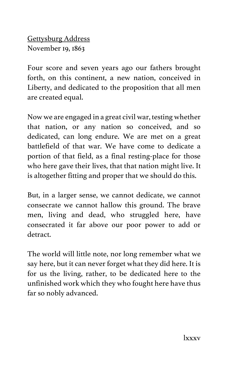Gettysburg Address November 19, 1863

Four score and seven years ago our fathers brought forth, on this continent, a new nation, conceived in Liberty, and dedicated to the proposition that all men are created equal.

Now we are engaged in a great civil war, testing whether that nation, or any nation so conceived, and so dedicated, can long endure. We are met on a great battlefield of that war. We have come to dedicate a portion of that field, as a final resting-place for those who here gave their lives, that that nation might live. It is altogether fitting and proper that we should do this.

But, in a larger sense, we cannot dedicate, we cannot consecrate we cannot hallow this ground. The brave men, living and dead, who struggled here, have consecrated it far above our poor power to add or detract.

The world will little note, nor long remember what we say here, but it can never forget what they did here. It is for us the living, rather, to be dedicated here to the unfinished work which they who fought here have thus far so nobly advanced.